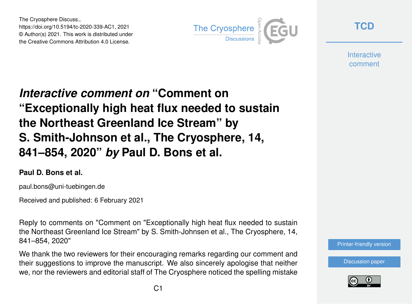The Cryosphere Discuss., https://doi.org/10.5194/tc-2020-339-AC1, 2021 © Author(s) 2021. This work is distributed under the Creative Commons Attribution 4.0 License.



**[TCD](https://tc.copernicus.org/preprints/)**

**Interactive** comment

# *Interactive comment on* **"Comment on "Exceptionally high heat flux needed to sustain the Northeast Greenland Ice Stream" by S. Smith-Johnson et al., The Cryosphere, 14, 841–854, 2020"** *by* **Paul D. Bons et al.**

#### **Paul D. Bons et al.**

paul.bons@uni-tuebingen.de

Received and published: 6 February 2021

Reply to comments on "Comment on "Exceptionally high heat flux needed to sustain the Northeast Greenland Ice Stream" by S. Smith-Johnsen et al., The Cryosphere, 14, 841–854, 2020"

We thank the two reviewers for their encouraging remarks regarding our comment and their suggestions to improve the manuscript. We also sincerely apologise that neither we, nor the reviewers and editorial staff of The Cryosphere noticed the spelling mistake



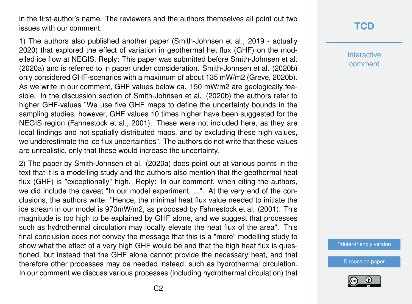in the first-author's name. The reviewers and the authors themselves all point out two issues with our comment:

1) The authors also published another paper (Smith-Johnsen et al., 2019 - actually 2020) that explored the effect of variation in geothermal het flux (GHF) on the modelled ice flow at NEGIS. Reply: This paper was submitted before Smith-Johnsen et al. (2020a) and is referred to in paper under consideration. Smith-Johnsen et al. (2020b) only considered GHF-scenarios with a maximum of about 135 mW/m2 (Greve, 2020b). As we write in our comment, GHF values below ca. 150 mW/m2 are geologically feasible. In the discussion section of Smith-Johnsen et al. (2020b) the authors refer to higher GHF-values "We use five GHF maps to define the uncertainty bounds in the sampling studies, however, GHF values 10 times higher have been suggested for the NEGIS region (Fahnestock et al., 2001). These were not included here, as they are local findings and not spatially distributed maps, and by excluding these high values, we underestimate the ice flux uncertainties". The authors do not write that these values are unrealistic, only that these would increase the uncertainty.

2) The paper by Smith-Johnsen et al. (2020a) does point out at various points in the text that it is a modelling study and the authors also mention that the geothermal heat flux (GHF) is "exceptionally" high. Reply: In our comment, when citing the authors, we did include the caveat "In our model experiment, ...". At the very end of the conclusions, the authors write: "Hence, the minimal heat flux value needed to initiate the ice stream in our model is 970mW/m2, as proposed by Fahnestock et al. (2001). This magnitude is too high to be explained by GHF alone, and we suggest that processes such as hydrothermal circulation may locally elevate the heat flux of the area". This final conclusion does not convey the message that this is a "mere" modelling study to show what the effect of a very high GHF would be and that the high heat flux is questioned, but instead that the GHF alone cannot provide the necessary heat, and that therefore other processes may be needed instead, such as hydrothermal circulation. In our comment we discuss various processes (including hydrothermal circulation) that

# **[TCD](https://tc.copernicus.org/preprints/)**

**Interactive** comment

[Printer-friendly version](https://tc.copernicus.org/preprints/tc-2020-339/tc-2020-339-AC1-print.pdf)

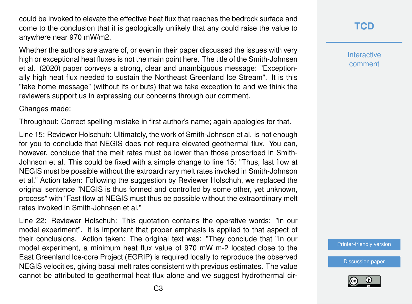could be invoked to elevate the effective heat flux that reaches the bedrock surface and come to the conclusion that it is geologically unlikely that any could raise the value to anywhere near 970 mW/m2.

Whether the authors are aware of, or even in their paper discussed the issues with very high or exceptional heat fluxes is not the main point here. The title of the Smith-Johnsen et al. (2020) paper conveys a strong, clear and unambiguous message: "Exceptionally high heat flux needed to sustain the Northeast Greenland Ice Stream". It is this "take home message" (without ifs or buts) that we take exception to and we think the reviewers support us in expressing our concerns through our comment.

Changes made:

Throughout: Correct spelling mistake in first author's name; again apologies for that.

Line 15: Reviewer Holschuh: Ultimately, the work of Smith-Johnsen et al. is not enough for you to conclude that NEGIS does not require elevated geothermal flux. You can, however, conclude that the melt rates must be lower than those proscribed in Smith-Johnson et al. This could be fixed with a simple change to line 15: "Thus, fast flow at NEGIS must be possible without the extroardinary melt rates invoked in Smith-Johnson et al." Action taken: Following the suggestion by Reviewer Holschuh, we replaced the original sentence "NEGIS is thus formed and controlled by some other, yet unknown, process" with "Fast flow at NEGIS must thus be possible without the extraordinary melt rates invoked in Smith-Johnsen et al."

Line 22: Reviewer Holschuh: This quotation contains the operative words: "in our model experiment". It is important that proper emphasis is applied to that aspect of their conclusions. Action taken: The original text was: "They conclude that "In our model experiment, a minimum heat flux value of 970 mW m-2 located close to the East Greenland Ice-core Project (EGRIP) is required locally to reproduce the observed NEGIS velocities, giving basal melt rates consistent with previous estimates. The value cannot be attributed to geothermal heat flux alone and we suggest hydrothermal cir**Interactive** comment

[Printer-friendly version](https://tc.copernicus.org/preprints/tc-2020-339/tc-2020-339-AC1-print.pdf)

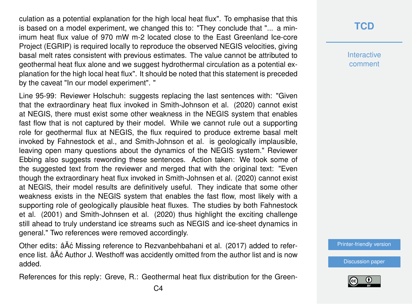culation as a potential explanation for the high local heat flux". To emphasise that this is based on a model experiment, we changed this to: "They conclude that "... a minimum heat flux value of 970 mW m-2 located close to the East Greenland Ice-core Project (EGRIP) is required locally to reproduce the observed NEGIS velocities, giving basal melt rates consistent with previous estimates. The value cannot be attributed to geothermal heat flux alone and we suggest hydrothermal circulation as a potential explanation for the high local heat flux". It should be noted that this statement is preceded by the caveat "In our model experiment". "

Line 95-99: Reviewer Holschuh: suggests replacing the last sentences with: "Given that the extraordinary heat flux invoked in Smith-Johnson et al. (2020) cannot exist at NEGIS, there must exist some other weakness in the NEGIS system that enables fast flow that is not captured by their model. While we cannot rule out a supporting role for geothermal flux at NEGIS, the flux required to produce extreme basal melt invoked by Fahnestock et al., and Smith-Johnson et al. is geologically implausible, leaving open many questions about the dynamics of the NEGIS system." Reviewer Ebbing also suggests rewording these sentences. Action taken: We took some of the suggested text from the reviewer and merged that with the original text: "Even though the extraordinary heat flux invoked in Smith-Johnsen et al. (2020) cannot exist at NEGIS, their model results are definitively useful. They indicate that some other weakness exists in the NEGIS system that enables the fast flow, most likely with a supporting role of geologically plausible heat fluxes. The studies by both Fahnestock et al. (2001) and Smith-Johnsen et al. (2020) thus highlight the exciting challenge still ahead to truly understand ice streams such as NEGIS and ice-sheet dynamics in general." Two references were removed accordingly.

Other edits: âĂć Missing reference to Rezvanbehbahani et al. (2017) added to reference list. âĂć Author J. Westhoff was accidently omitted from the author list and is now added.

References for this reply: Greve, R.: Geothermal heat flux distribution for the Green-

## **[TCD](https://tc.copernicus.org/preprints/)**

**Interactive** comment

[Printer-friendly version](https://tc.copernicus.org/preprints/tc-2020-339/tc-2020-339-AC1-print.pdf)